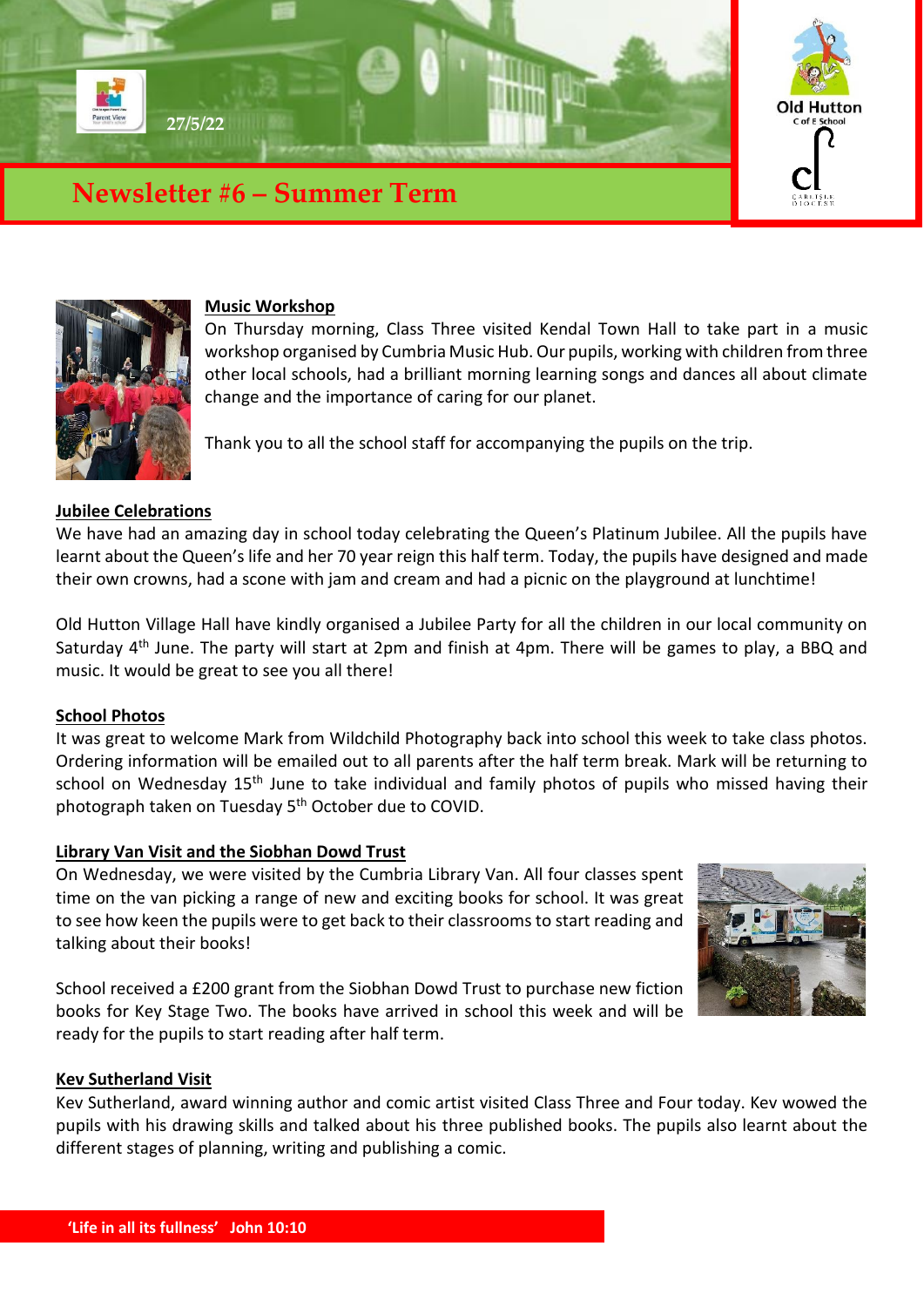



#### **Music Workshop**

On Thursday morning, Class Three visited Kendal Town Hall to take part in a music workshop organised by Cumbria Music Hub. Our pupils, working with children from three other local schools, had a brilliant morning learning songs and dances all about climate change and the importance of caring for our planet.

Thank you to all the school staff for accompanying the pupils on the trip.

## **Jubilee Celebrations**

We have had an amazing day in school today celebrating the Queen's Platinum Jubilee. All the pupils have learnt about the Queen's life and her 70 year reign this half term. Today, the pupils have designed and made their own crowns, had a scone with jam and cream and had a picnic on the playground at lunchtime!

Old Hutton Village Hall have kindly organised a Jubilee Party for all the children in our local community on Saturday 4<sup>th</sup> June. The party will start at 2pm and finish at 4pm. There will be games to play, a BBQ and music. It would be great to see you all there!

#### **School Photos**

It was great to welcome Mark from Wildchild Photography back into school this week to take class photos. Ordering information will be emailed out to all parents after the half term break. Mark will be returning to school on Wednesday 15<sup>th</sup> June to take individual and family photos of pupils who missed having their photograph taken on Tuesday 5<sup>th</sup> October due to COVID.

#### **Library Van Visit and the Siobhan Dowd Trust**

On Wednesday, we were visited by the Cumbria Library Van. All four classes spent time on the van picking a range of new and exciting books for school. It was great to see how keen the pupils were to get back to their classrooms to start reading and talking about their books!

School received a £200 grant from the Siobhan Dowd Trust to purchase new fiction books for Key Stage Two. The books have arrived in school this week and will be ready for the pupils to start reading after half term.



## **Kev Sutherland Visit**

Kev Sutherland, award winning author and comic artist visited Class Three and Four today. Kev wowed the pupils with his drawing skills and talked about his three published books. The pupils also learnt about the different stages of planning, writing and publishing a comic.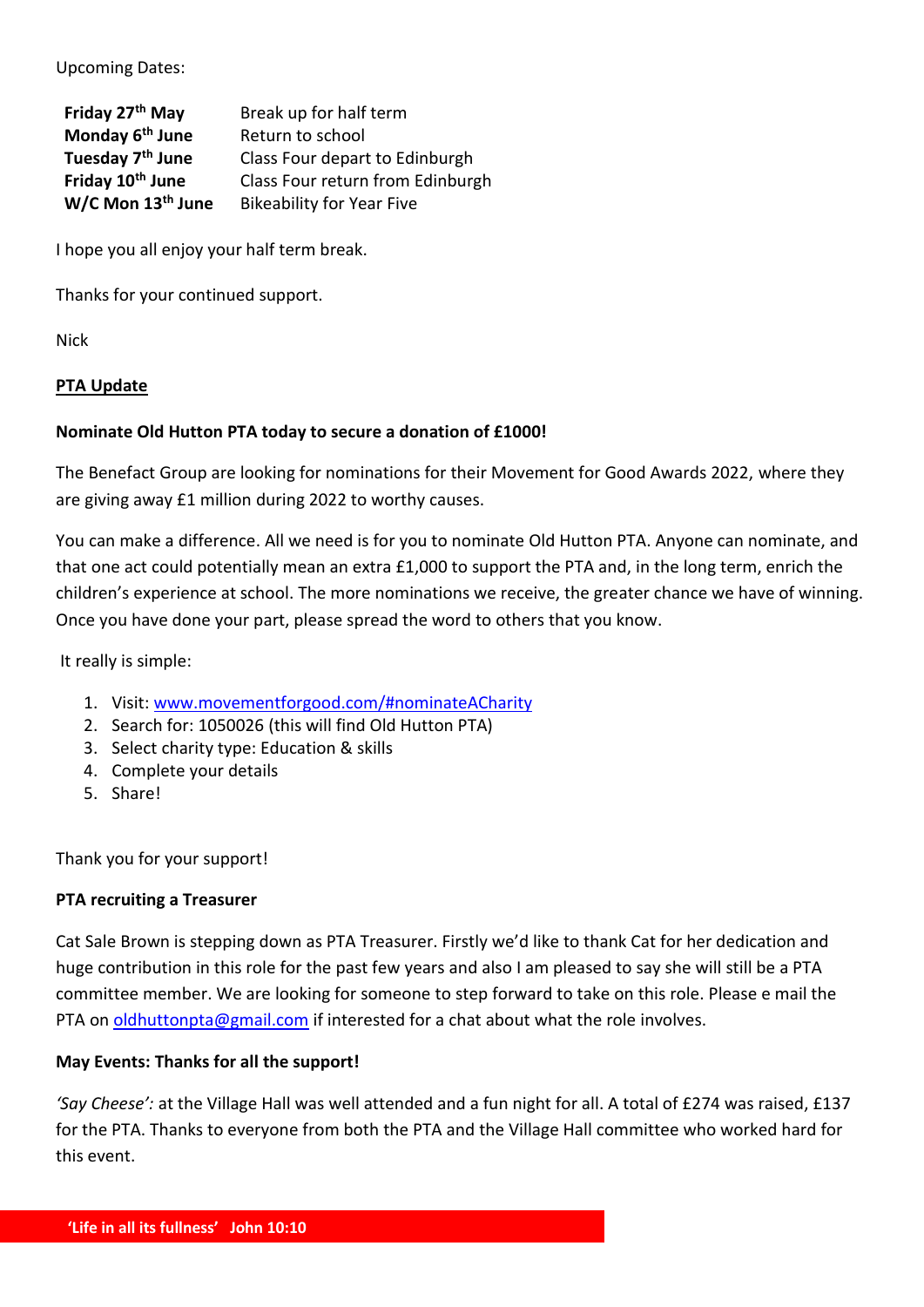Upcoming Dates:

| Friday 27 <sup>th</sup> May   | Break up for half term           |
|-------------------------------|----------------------------------|
| Monday 6 <sup>th</sup> June   | Return to school                 |
| Tuesday 7 <sup>th</sup> June  | Class Four depart to Edinburgh   |
| Friday 10 <sup>th</sup> June  | Class Four return from Edinburgh |
| W/C Mon 13 <sup>th</sup> June | <b>Bikeability for Year Five</b> |

I hope you all enjoy your half term break.

Thanks for your continued support.

Nick

## **PTA Update**

## **Nominate Old Hutton PTA today to secure a donation of £1000!**

The Benefact Group are looking for nominations for their Movement for Good Awards 2022, where they are giving away £1 million during 2022 to worthy causes.

You can make a difference. All we need is for you to nominate Old Hutton PTA. Anyone can nominate, and that one act could potentially mean an extra £1,000 to support the PTA and, in the long term, enrich the children's experience at school. The more nominations we receive, the greater chance we have of winning. Once you have done your part, please spread the word to others that you know.

It really is simple:

- 1. Visit: [www.movementforgood.com/#nominateACharity](http://www.movementforgood.com/#nominateACharity)
- 2. Search for: 1050026 (this will find Old Hutton PTA)
- 3. Select charity type: Education & skills
- 4. Complete your details
- 5. Share!

Thank you for your support!

## **PTA recruiting a Treasurer**

Cat Sale Brown is stepping down as PTA Treasurer. Firstly we'd like to thank Cat for her dedication and huge contribution in this role for the past few years and also I am pleased to say she will still be a PTA committee member. We are looking for someone to step forward to take on this role. Please e mail the PTA on [oldhuttonpta@gmail.com](mailto:oldhuttonpta@gmail.com) if interested for a chat about what the role involves.

## **May Events: Thanks for all the support!**

*'Say Cheese':* at the Village Hall was well attended and a fun night for all. A total of £274 was raised, £137 for the PTA. Thanks to everyone from both the PTA and the Village Hall committee who worked hard for this event.